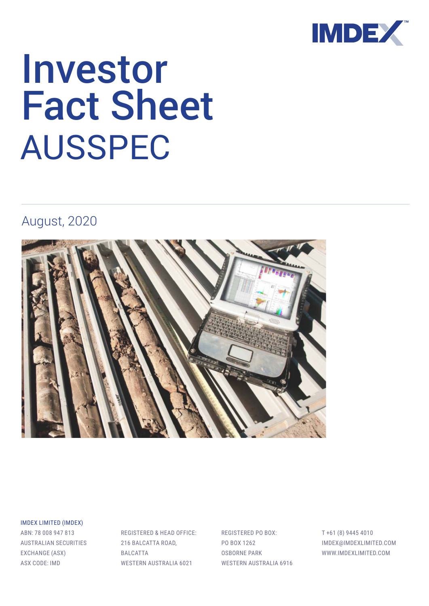

# Investor Fact Sheet AUSSPEC

### August, 2020



IMDEX LIMITED (IMDEX)

ABN: 78 008 947 813 AUSTRALIAN SECURITIES EXCHANGE (ASX) ASX CODE: IMD

REGISTERED & HEAD OFFICE: 216 BALCATTA ROAD, BALCATTA WESTERN AUSTRALIA 6021

REGISTERED PO BOX: PO BOX 1262 OSBORNE PARK WESTERN AUSTRALIA 6916 T +61 (8) 9445 4010 IMDEX@IMDEXLIMITED.COM WWW.IMDEXLIMITED.COM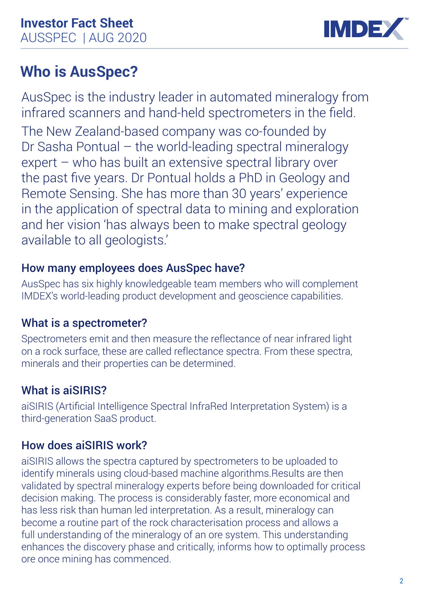

# **Who is AusSpec?**

AusSpec is the industry leader in automated mineralogy from infrared scanners and hand-held spectrometers in the field. The New Zealand-based company was co-founded by Dr Sasha Pontual – the world-leading spectral mineralogy expert – who has built an extensive spectral library over the past five years. Dr Pontual holds a PhD in Geology and Remote Sensing. She has more than 30 years' experience in the application of spectral data to mining and exploration and her vision 'has always been to make spectral geology available to all geologists.'

### How many employees does AusSpec have?

AusSpec has six highly knowledgeable team members who will complement IMDEX's world-leading product development and geoscience capabilities.

### What is a spectrometer?

Spectrometers emit and then measure the reflectance of near infrared light on a rock surface, these are called reflectance spectra. From these spectra, minerals and their properties can be determined.

### What is aiSIRIS?

aiSIRIS (Artificial Intelligence Spectral InfraRed Interpretation System) is a third-generation SaaS product.

### How does aiSIRIS work?

aiSIRIS allows the spectra captured by spectrometers to be uploaded to identify minerals using cloud-based machine algorithms.Results are then validated by spectral mineralogy experts before being downloaded for critical decision making. The process is considerably faster, more economical and has less risk than human led interpretation. As a result, mineralogy can become a routine part of the rock characterisation process and allows a full understanding of the mineralogy of an ore system. This understanding enhances the discovery phase and critically, informs how to optimally process ore once mining has commenced.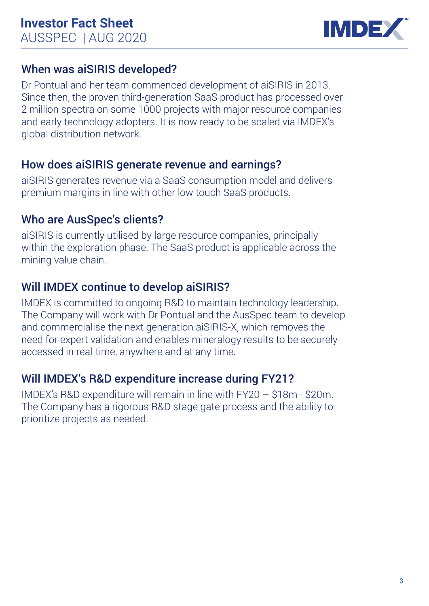

### When was aiSIRIS developed?

Dr Pontual and her team commenced development of aiSIRIS in 2013. Since then, the proven third-generation SaaS product has processed over 2 million spectra on some 1000 projects with major resource companies and early technology adopters. It is now ready to be scaled via IMDEX's global distribution network.

### How does aiSIRIS generate revenue and earnings?

aiSIRIS generates revenue via a SaaS consumption model and delivers premium margins in line with other low touch SaaS products.

### Who are AusSpec's clients?

aiSIRIS is currently utilised by large resource companies, principally within the exploration phase. The SaaS product is applicable across the mining value chain.

### Will IMDEX continue to develop aiSIRIS?

IMDEX is committed to ongoing R&D to maintain technology leadership. The Company will work with Dr Pontual and the AusSpec team to develop and commercialise the next generation aiSIRIS-X, which removes the need for expert validation and enables mineralogy results to be securely accessed in real-time, anywhere and at any time.

### Will IMDEX's R&D expenditure increase during FY21?

IMDEX's R&D expenditure will remain in line with FY20 – \$18m - \$20m. The Company has a rigorous R&D stage gate process and the ability to prioritize projects as needed.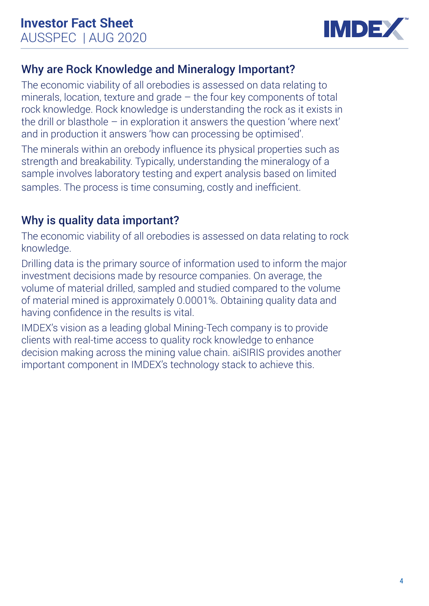

### Why are Rock Knowledge and Mineralogy Important?

The economic viability of all orebodies is assessed on data relating to minerals, location, texture and grade – the four key components of total rock knowledge. Rock knowledge is understanding the rock as it exists in the drill or blasthole – in exploration it answers the question 'where next' and in production it answers 'how can processing be optimised'.

The minerals within an orebody influence its physical properties such as strength and breakability. Typically, understanding the mineralogy of a sample involves laboratory testing and expert analysis based on limited samples. The process is time consuming, costly and inefficient.

### Why is quality data important?

The economic viability of all orebodies is assessed on data relating to rock knowledge.

Drilling data is the primary source of information used to inform the major investment decisions made by resource companies. On average, the volume of material drilled, sampled and studied compared to the volume of material mined is approximately 0.0001%. Obtaining quality data and having confidence in the results is vital.

IMDEX's vision as a leading global Mining-Tech company is to provide clients with real-time access to quality rock knowledge to enhance decision making across the mining value chain. aiSIRIS provides another important component in IMDEX's technology stack to achieve this.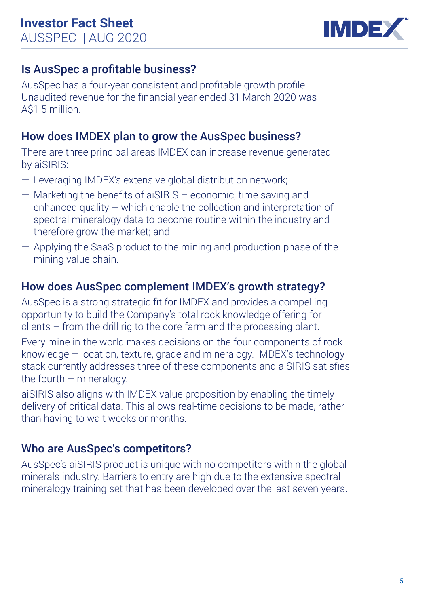

### Is AusSpec a profitable business?

AusSpec has a four-year consistent and profitable growth profile. Unaudited revenue for the financial year ended 31 March 2020 was A\$1.5 million.

### How does IMDEX plan to grow the AusSpec business?

There are three principal areas IMDEX can increase revenue generated by aiSIRIS:

- Leveraging IMDEX's extensive global distribution network;
- Marketing the benefits of aiSIRIS economic, time saving and enhanced quality – which enable the collection and interpretation of spectral mineralogy data to become routine within the industry and therefore grow the market; and
- Applying the SaaS product to the mining and production phase of the mining value chain.

### How does AusSpec complement IMDEX's growth strategy?

AusSpec is a strong strategic fit for IMDEX and provides a compelling opportunity to build the Company's total rock knowledge offering for clients – from the drill rig to the core farm and the processing plant.

Every mine in the world makes decisions on the four components of rock knowledge – location, texture, grade and mineralogy. IMDEX's technology stack currently addresses three of these components and aiSIRIS satisfies the fourth  $-$  mineralogy.

aiSIRIS also aligns with IMDEX value proposition by enabling the timely delivery of critical data. This allows real-time decisions to be made, rather than having to wait weeks or months.

### Who are AusSpec's competitors?

AusSpec's aiSIRIS product is unique with no competitors within the global minerals industry. Barriers to entry are high due to the extensive spectral mineralogy training set that has been developed over the last seven years.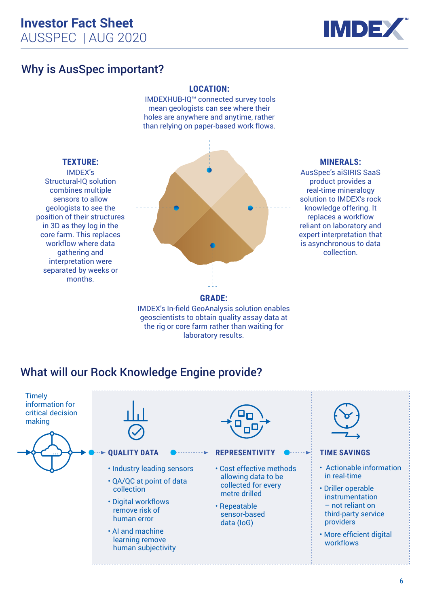

### Why is AusSpec important?

### **LOCATION:**

IMDEXHUB-IQ™ connected survey tools mean geologists can see where their holes are anywhere and anytime, rather than relying on paper-based work flows.



IMDEX's In-field GeoAnalysis solution enables geoscientists to obtain quality assay data at the rig or core farm rather than waiting for laboratory results.

product provides a real-time mineralogy solution to IMDEX's rock knowledge offering. It replaces a workflow reliant on laboratory and expert interpretation that is asynchronous to data collection.

**MINERALS:** AusSpec's aiSIRIS SaaS

### combines multiple sensors to allow geologists to see the position of their structures in 3D as they log in the core farm. This replaces workflow where data gathering and interpretation were separated by weeks or months.

**TEXTURE:** IMDEX's

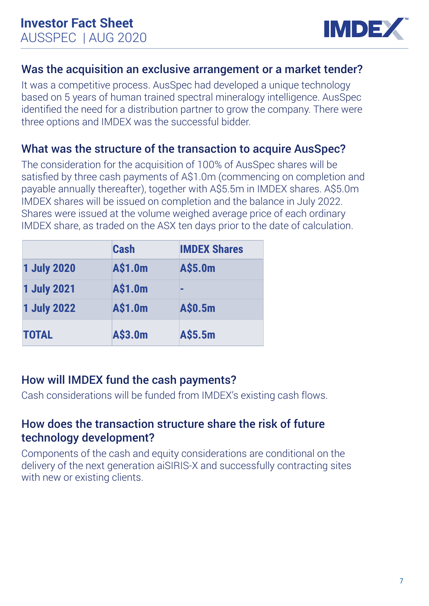

### Was the acquisition an exclusive arrangement or a market tender?

It was a competitive process. AusSpec had developed a unique technology based on 5 years of human trained spectral mineralogy intelligence. AusSpec identified the need for a distribution partner to grow the company. There were three options and IMDEX was the successful bidder.

### What was the structure of the transaction to acquire AusSpec?

The consideration for the acquisition of 100% of AusSpec shares will be satisfied by three cash payments of A\$1.0m (commencing on completion and payable annually thereafter), together with A\$5.5m in IMDEX shares. A\$5.0m IMDEX shares will be issued on completion and the balance in July 2022. Shares were issued at the volume weighed average price of each ordinary IMDEX share, as traded on the ASX ten days prior to the date of calculation.

|                    | Cash    | <b>IMDEX Shares</b> |
|--------------------|---------|---------------------|
| <b>1 July 2020</b> | A\$1.0m | A\$5.0m             |
| <b>1 July 2021</b> | A\$1.0m | ▬                   |
| <b>1 July 2022</b> | A\$1.0m | A\$0.5m             |
| <b>TOTAL</b>       | A\$3.0m | A\$5.5m             |

### How will IMDEX fund the cash payments?

Cash considerations will be funded from IMDEX's existing cash flows.

### How does the transaction structure share the risk of future technology development?

Components of the cash and equity considerations are conditional on the delivery of the next generation aiSIRIS-X and successfully contracting sites with new or existing clients.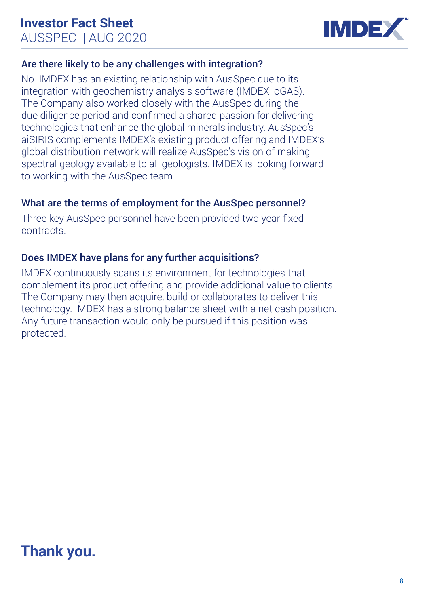

### Are there likely to be any challenges with integration?

No. IMDEX has an existing relationship with AusSpec due to its integration with geochemistry analysis software (IMDEX ioGAS). The Company also worked closely with the AusSpec during the due diligence period and confirmed a shared passion for delivering technologies that enhance the global minerals industry. AusSpec's aiSIRIS complements IMDEX's existing product offering and IMDEX's global distribution network will realize AusSpec's vision of making spectral geology available to all geologists. IMDEX is looking forward to working with the AusSpec team.

### What are the terms of employment for the AusSpec personnel?

Three key AusSpec personnel have been provided two year fixed contracts.

### Does IMDEX have plans for any further acquisitions?

IMDEX continuously scans its environment for technologies that complement its product offering and provide additional value to clients. The Company may then acquire, build or collaborates to deliver this technology. IMDEX has a strong balance sheet with a net cash position. Any future transaction would only be pursued if this position was protected.

## **Thank you.**